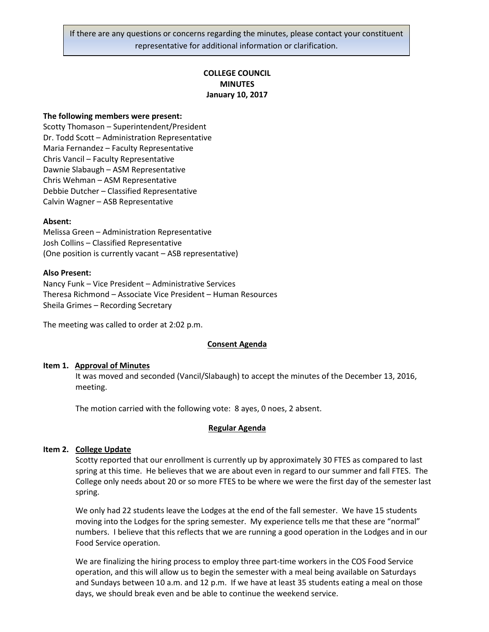If there are any questions or concerns regarding the minutes, please contact your constituent representative for additional information or clarification.

# **COLLEGE COUNCIL MINUTES January 10, 2017**

#### **The following members were present:**

Scotty Thomason – Superintendent/President Dr. Todd Scott – Administration Representative Maria Fernandez – Faculty Representative Chris Vancil – Faculty Representative Dawnie Slabaugh – ASM Representative Chris Wehman – ASM Representative Debbie Dutcher – Classified Representative Calvin Wagner – ASB Representative

#### **Absent:**

Melissa Green – Administration Representative Josh Collins – Classified Representative (One position is currently vacant – ASB representative)

#### **Also Present:**

Nancy Funk – Vice President – Administrative Services Theresa Richmond – Associate Vice President – Human Resources Sheila Grimes – Recording Secretary

The meeting was called to order at 2:02 p.m.

### **Consent Agenda**

#### **Item 1. Approval of Minutes**

It was moved and seconded (Vancil/Slabaugh) to accept the minutes of the December 13, 2016, meeting.

The motion carried with the following vote: 8 ayes, 0 noes, 2 absent.

#### **Regular Agenda**

# **Item 2. College Update**

Scotty reported that our enrollment is currently up by approximately 30 FTES as compared to last spring at this time. He believes that we are about even in regard to our summer and fall FTES. The College only needs about 20 or so more FTES to be where we were the first day of the semester last spring.

We only had 22 students leave the Lodges at the end of the fall semester. We have 15 students moving into the Lodges for the spring semester. My experience tells me that these are "normal" numbers. I believe that this reflects that we are running a good operation in the Lodges and in our Food Service operation.

We are finalizing the hiring process to employ three part-time workers in the COS Food Service operation, and this will allow us to begin the semester with a meal being available on Saturdays and Sundays between 10 a.m. and 12 p.m. If we have at least 35 students eating a meal on those days, we should break even and be able to continue the weekend service.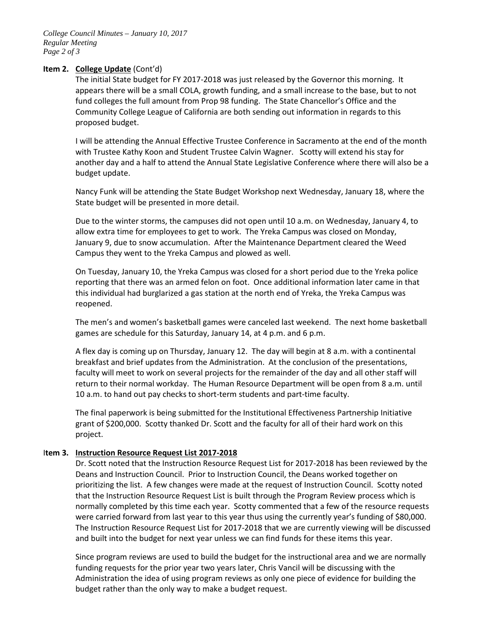# **Item 2. College Update** (Cont'd)

The initial State budget for FY 2017-2018 was just released by the Governor this morning. It appears there will be a small COLA, growth funding, and a small increase to the base, but to not fund colleges the full amount from Prop 98 funding. The State Chancellor's Office and the Community College League of California are both sending out information in regards to this proposed budget.

I will be attending the Annual Effective Trustee Conference in Sacramento at the end of the month with Trustee Kathy Koon and Student Trustee Calvin Wagner. Scotty will extend his stay for another day and a half to attend the Annual State Legislative Conference where there will also be a budget update.

Nancy Funk will be attending the State Budget Workshop next Wednesday, January 18, where the State budget will be presented in more detail.

Due to the winter storms, the campuses did not open until 10 a.m. on Wednesday, January 4, to allow extra time for employees to get to work. The Yreka Campus was closed on Monday, January 9, due to snow accumulation. After the Maintenance Department cleared the Weed Campus they went to the Yreka Campus and plowed as well.

On Tuesday, January 10, the Yreka Campus was closed for a short period due to the Yreka police reporting that there was an armed felon on foot. Once additional information later came in that this individual had burglarized a gas station at the north end of Yreka, the Yreka Campus was reopened.

The men's and women's basketball games were canceled last weekend. The next home basketball games are schedule for this Saturday, January 14, at 4 p.m. and 6 p.m.

A flex day is coming up on Thursday, January 12. The day will begin at 8 a.m. with a continental breakfast and brief updates from the Administration. At the conclusion of the presentations, faculty will meet to work on several projects for the remainder of the day and all other staff will return to their normal workday. The Human Resource Department will be open from 8 a.m. until 10 a.m. to hand out pay checks to short-term students and part-time faculty.

The final paperwork is being submitted for the Institutional Effectiveness Partnership Initiative grant of \$200,000. Scotty thanked Dr. Scott and the faculty for all of their hard work on this project.

# I**tem 3. Instruction Resource Request List 2017-2018**

Dr. Scott noted that the Instruction Resource Request List for 2017-2018 has been reviewed by the Deans and Instruction Council. Prior to Instruction Council, the Deans worked together on prioritizing the list. A few changes were made at the request of Instruction Council. Scotty noted that the Instruction Resource Request List is built through the Program Review process which is normally completed by this time each year. Scotty commented that a few of the resource requests were carried forward from last year to this year thus using the currently year's funding of \$80,000. The Instruction Resource Request List for 2017-2018 that we are currently viewing will be discussed and built into the budget for next year unless we can find funds for these items this year.

Since program reviews are used to build the budget for the instructional area and we are normally funding requests for the prior year two years later, Chris Vancil will be discussing with the Administration the idea of using program reviews as only one piece of evidence for building the budget rather than the only way to make a budget request.